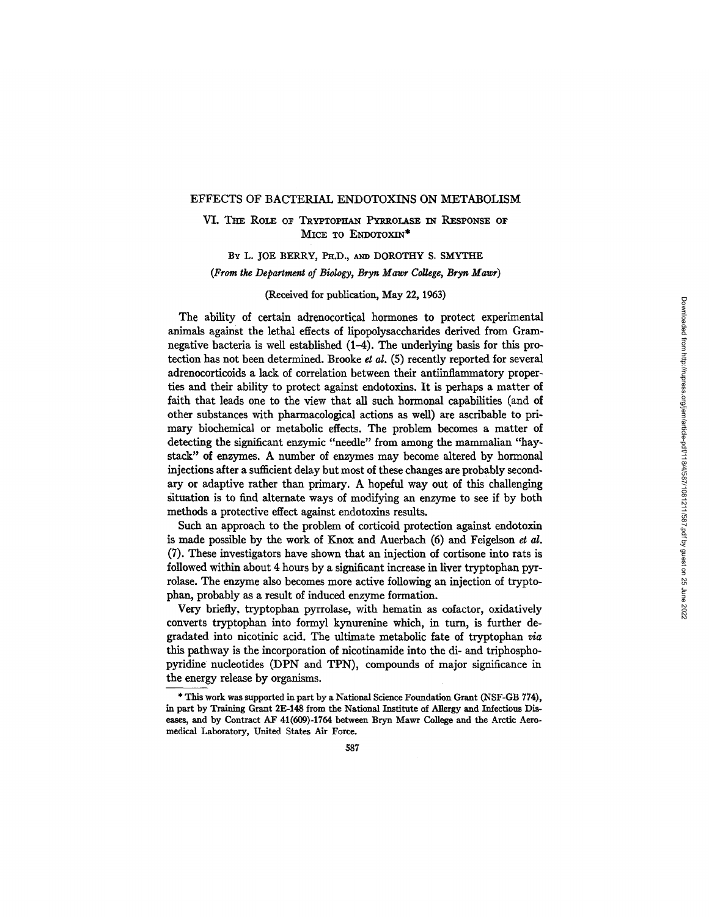#### EFFECTS OF BACTERIAL ENDOTOXINS ON METABOLISM

VI. THE ROLE OF TRYPTOPHAN PYRROLASE IN RESPONSE OF MICE TO ENDOTOXIN<sup>\*</sup>

BY L. JOE BERRY, PH.D., AND DOROTHY S. SMYTHE *(From the Department of Biology, Bryn Mawr College, Bryn Mawr)* 

(Received for publication, May 22, 1963)

The ability of certain adrenocortical hormones to protect experimental animals against the lethal effects of lipopolysaccharides derived from Gramnegative bacteria is well established  $(1-4)$ . The underlying basis for this protection has not been determined. Brooke *et al.* (5) recently reported for several adrenocorticoids a lack of correlation between their antiinflammatory properties and their ability to protect against endotoxins. It is perhaps a matter of faith that leads one to the view that all such hormonal capabilities (and of other substances with pharmacological actions as well) are ascribable to primary biochemical or metabolic effects. The problem becomes a matter of detecting the significant enzymic "needle" from among the mammalian "haystack" of enzymes. A number of enzymes may become altered by hormonal injections after a suflficient delay but most of these changes are probably secondary or adaptive rather than primary. A hopeful way out of this challenging situation is to find alternate ways of modifying an enzyme to see if by both methods a protective effect against endotoxins results.

Such an approach to the problem of corticoid protection against endotoxin is made possible by the work of Knox and Auerbach (6) and Feigelson *et al.*  (7). These investigators have shown that an injection of cortisone into rats is followed within about 4 hours by a significant increase in liver tryptophan pyrrolase. The enzyme also becomes more active following an injection of tryptophan, probably as a result of induced enzyme formation.

Very briefly, tryptophan pyrrolase, with hematin as cofactor, oxidatively converts tryptophan into formyl kynurenine which, in turn, is further degradated into nicotinic acid. The ultimate metabolic fate of tryptophan via this pathway is the incorporation of nicotinamide into the di- and triphosphopyridine nucleotides (DPN and TPN), compounds of major significance in the energy release by organisms.

<sup>\*</sup> This work was supported in part by a National Science Foundation Grant (NSF-GB 774), in part by Training Grant 2E-148 from the National Institute of Allergy and Infectious Diseases, and by Contract AF 41(609)-1764 between Bryn Mawr College and the Arctic Aeromedical Laboratory, United States Air Force.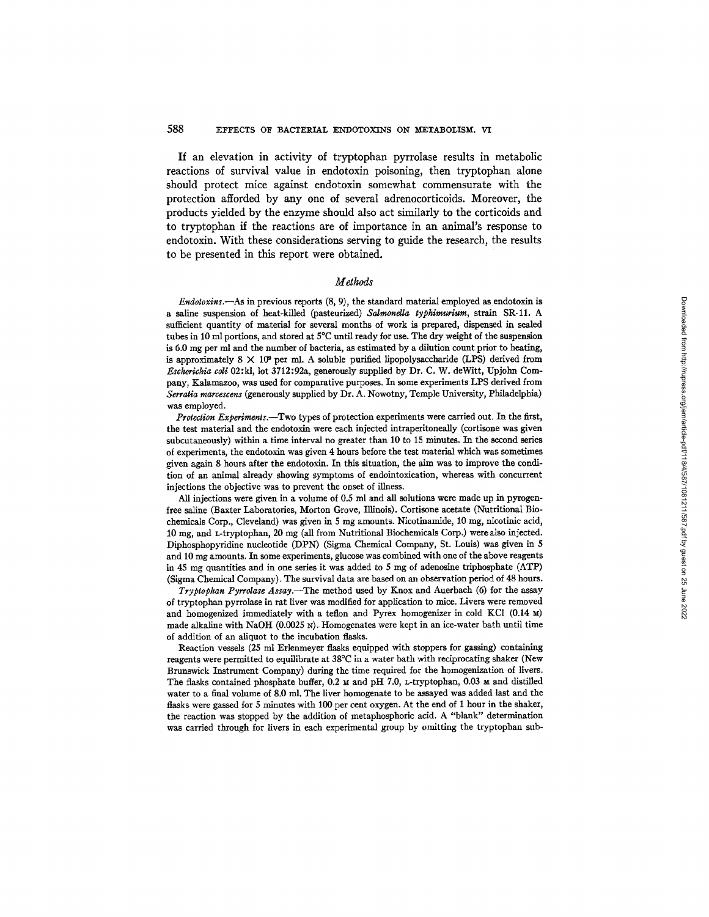# 588 EFFECTS OF BACTERIAL ENDOTOXINS ON METABOLISM. VI

**If an elevation in activity of tryptophan pyrrolase results in metabolic reactions of survival value in endotoxin poisoning, then tryptophan alone should protect mice against endotoxin somewhat commensurate with the protection afforded by any one of several adrenocorticoids. Moreover, the products yielded by the enzyme should also act similarly to the corticoids and to tryptophan if the reactions are of importance in an animal's response to endotoxin. With these considerations serving to guide the research, the results to be presented in this report were obtained.** 

# *Methods*

*Endotoxins.--As* in previous reports (8, 9), the standard material employed as endotoxin is a saline suspension of heat-killed (pasteurized) *Salmonella typhimurium,* strain SR-11. A sufficient quantity of material for several months of work is prepared, dispensed in sealed tubes in 10 ml portions, and stored at 5°C until ready for use. The dry weight of the suspension is 6.0 mg per ml and the number of bacteria, as estimated by a dilution count prior to heating, is approximately 8  $\times$  10<sup>o</sup> per ml. A soluble purified lipopolysaccharide (LPS) derived from Escherichia coli 02:kl, lot 3712:92a, generously supplied by Dr. C. W. deWitt, Upjohn Company, Kalamazoo, was used for comparative purposes. In some experiments LPS derived from *Serratia marcescens* (generously supplied by Dr. A. Nowotny, Temple University, Philadelphia) was employed.

*Protection Experiments.--Two* types of protection experiments were carried out. In the first, the test material and the endotoxin were each injected intraperitoneaily (cortisone was given subcutaneously) within a time interval no greater than 10 to 15 minutes. In the second series of experiments, the endotoxin was given 4 hours before the test material which was sometimes given again 8 hours after the endotoxin. In this situation, the aim was to improve the condition of an animal already showing symptoms of endointoxication, whereas with concurrent injections the objective was to prevent the onset of illness.

All injections were given in a volume of 0.5 ml and all solutions were made up in pyrogenfree saline (Baxter Laboratories, Morton Grove, Illinois). Cortisone acetate (Nutritional Biochemicals Corp., Cleveland) was given in 5 mg amounts. Nicotinamide, 10 mg, nicotinic acid, 10 mg, and L-tryptophan, 20 mg (all from Nutritional Biochemicals Corp.) werealso injected. Diphosphopyridine nucleotide (DPN) (Sigma Chemical Company, St. Louis) was given in 5 and 10 mg amounts. In some experiments, glucose was combined with one of the above reagents in 45 mg quantities and in one series it was added to 5 mg of adenosine triphosphate (ATP) (Sigma Chemical Company). The survival data are based on an observation period of 48 hours.

*Tryptophan Pyrrolase Assay.--The* method used by Knox and Auerbach (6) for the assay of tryptophan pyrrolase in rat liver was modified for application to mice. Livers were removed and homogenized immediately with a teflon and Pyrex homogenizer in cold KCI (0.14 M) made alkaline with NaOH (0.0025 N). Homogenates were kept in an ice-water bath until time of addition of an aliquot to the incubation flasks.

Reaction vessels (25 ml Erlenmeyer flasks equipped with stoppers for gassing) containing reagents were permitted to equilibrate at 38°C in a water bath with reciprocating shaker (New Brunswick Instrument Company) during the time required for the homogenization of livers. The flasks contained phosphate buffer,  $0.2 \text{ m}$  and pH 7.0, L-tryptophan, 0.03 M and distilled water to a final volume of 8.0 ml. The liver homogenate to be assayed was added last and the flasks were gassed for 5 minutes with 100 per cent oxygen. At the end of 1 hour in the shaker, the reaction was stopped by the addition of metaphosphoric acid. A "blank" determination was carried through for livers in each experimental group by omitting the tryptophan sub-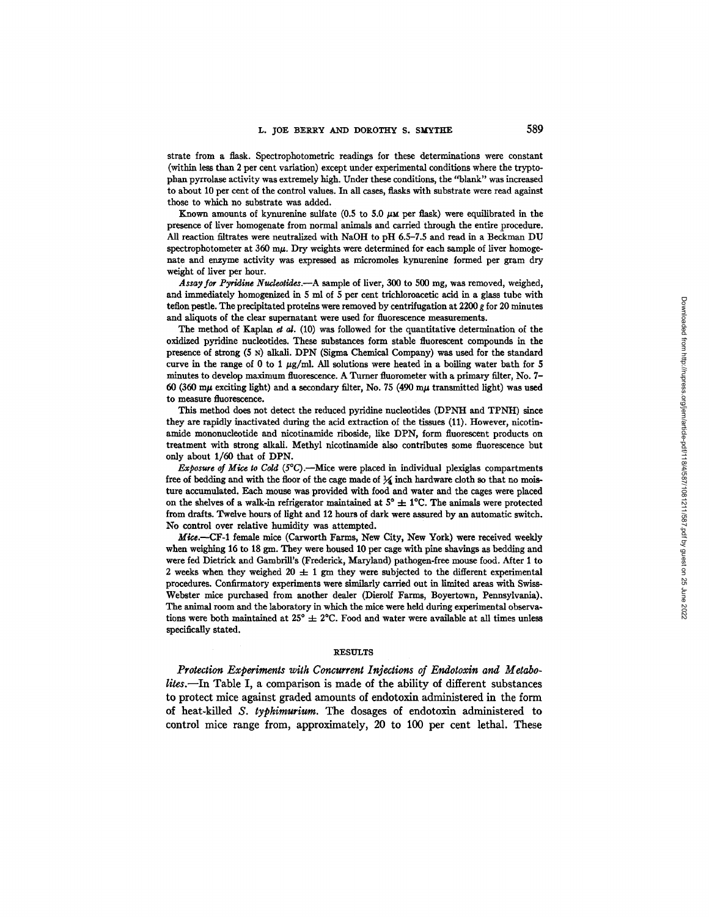strate from a flask. Spectrophotometric readings for these determinations were constant (within less than 2 per cent variation) except under experimental conditions where the tryptophan pyrrolase activity was extremely high. Under these conditions, the "blank" was increased to about 10 per cent of the control values. In all cases, flasks with substrate were read against those to which no substrate was added.

Known amounts of kynurenine sulfate  $(0.5 \text{ to } 5.0 \mu \text{m}$  per flask) were equilibrated in the presence of liver homogenate from normal animals and carried through the entire procedure. All reaction filtrates were neutralized with NaOH to pH 6.5-7.5 and read in a Beckman DU spectrophotometer at  $360 \text{ m}\mu$ . Dry weights were determined for each sample of liver homogehate and enzyme activity was expressed as micromoles kynurenine formed per gram dry weight of liver per hour.

*Assay.for Pyridlne Nudeotldes.--A* sample of liver, 300 to 500 nag, was removed, weighed, and immediately homogenized in 5 ml of 5 per cent trichloroacetic acid in a glass tube with teflon pestle. The precipitated proteins were removed by centrifugation at 2200 g for 20 minutes and aliquots of the clear supernatant were used for fluorescence measurements.

The method of Kaplan et al.  $(10)$  was followed for the quantitative determination of the oxidized pyridine nucleotides. These substances form stable fluorescent compounds in the presence of strong  $(5 \text{ N})$  alkali. DPN (Sigma Chemical Company) was used for the standard curve in the range of 0 to 1  $\mu$ g/ml. All solutions were heated in a boiling water bath for 5 minutes to develop maximum fluorescence. A Turner fluorometer with a primary filter, No. 7- 60 (360 m $\mu$  exciting light) and a secondary filter, No. 75 (490 m $\mu$  transmitted light) was used to measure fluorescence.

This method does not detect the reduced pyridine nucleotides (DPNH and TPNH) since they are rapidly inactivated during the acid extraction of the tissues (11). However, nicotinamide mononucleotide and nicotinamide riboside, like DPN, form fluorescent products on treatment with strong alkali. Methyl nicotinamide also contributes some fluorescence but only about 1/60 that of DPN.

*Exposure of Mice to Cold (5<sup>o</sup>C).*—Mice were placed in individual plexiglas compartments free of bedding and with the floor of the cage made of  $\frac{1}{4}$  inch hardware cloth so that no moisture accumulated. Each mouse was provided with food and water and the cages were placed on the shelves of a walk-in refrigerator maintained at  $5^{\circ} \pm 1^{\circ}$ C. The animals were protected from drafts. Twelve hours of light and 12 hours of dark were assured by an automatic switch. No control over relative humidity was attempted.

Mice.--CF-1 female mice (Carworth Farms, New City, New York) were received weekly when weighing 16 to 18 gm. They were housed 10 per cage with pine shavings as bedding and were fed Dietrick and Gambrill's (Frederick, Maryland) pathogen-free mouse food. After 1 to 2 weeks when they weighed 20  $\pm$  1 gm they were subjected to the different experimental procedures. Confirmatory experiments were similarly carried out in limited areas with Swiss-Webster mice purchased from another dealer (Dierolf Farms, Boyertown, Pennsylvania). The animal room and the laboratory in which the mice were held during experimental observations were both maintained at  $25^{\circ} \pm 2^{\circ}$ C. Food and water were available at all times unless specifically stated.

### **RESULTS**

*Protection Experiments with Concurrent Injections of Endotoxin and Metabo. lites.--In* **Table I, a comparison is made of the ability of different substances to protect mice against graded amounts of endotoxin administered in the form of heat-killed** *S. typhimurium. The* **dosages of endotoxin administered to control mice range from, approximately, 20 to 100 per cent lethal. These**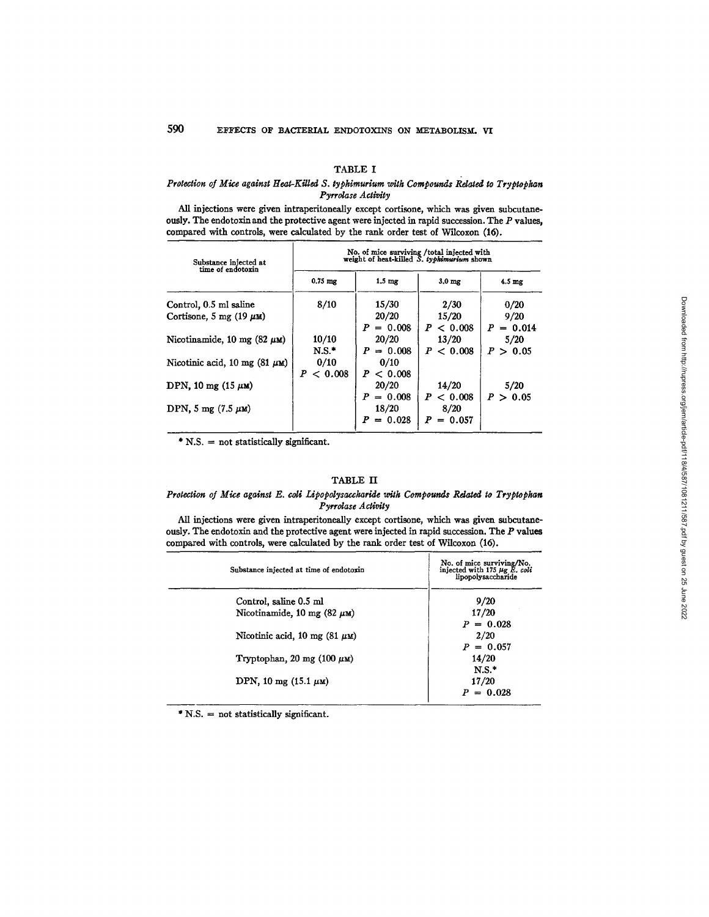# TABLE I

### *Protection of Mice against Heat-Killed S. typhimurium with Compounds Related to Tryptophan Pyrrolase Activity*

All injections were given intraperitoneally except cortisone, which was given subcutaneously. The endotoxin and the protective agent were injected in rapid succession. The  $P$  values, compared with controls, were calculated by the rank order test of Wilcoxon (16).

| Substance injected at<br>time of endotoxin | No. of mice surviving /total injected with<br>weight of heat-killed S. typhimurium shown |                                           |                                     |                     |  |
|--------------------------------------------|------------------------------------------------------------------------------------------|-------------------------------------------|-------------------------------------|---------------------|--|
|                                            | $0.75$ mg                                                                                | $1.5 \text{ mg}$                          | 3.0 <sub>mg</sub>                   | $4.5 \text{ mg}$    |  |
| Control, 0.5 ml saline                     | 8/10                                                                                     | 15/30                                     | 2/30                                | 0/20                |  |
| Cortisone, 5 mg (19 $\mu$ M)               |                                                                                          | 20/20<br>$P = 0.008$                      | 15/20<br>P < 0.008                  | 9/20<br>$P = 0.014$ |  |
| Nicotinamide, 10 mg $(82 \mu \text{m})$    | 10/10<br>$N.S.*$                                                                         | 20/20<br>$P = 0.008$                      | 13/20<br>P < 0.008                  | 5/20<br>P > 0.05    |  |
| Nicotinic acid, 10 mg (81 $\mu$ M)         | 0/10<br>< 0.008<br>P                                                                     | 0/10<br>P < 0.008                         |                                     |                     |  |
| DPN, 10 mg $(15 \mu \text{m})$             |                                                                                          | 20/20                                     | 14/20                               | 5/20                |  |
| DPN, 5 mg $(7.5 \mu \text{m})$             |                                                                                          | $= 0.008$<br>P<br>18/20<br>$= 0.028$<br>P | P < 0.008<br>8/20<br>P<br>$= 0.057$ | P > 0.05            |  |

\* N.S. = not statistically significant.

#### TABLE II

### Protection of Mice against E. coli Lipopolysaccharide with Compounds Related to Tryptophan *Pyrrolase Act, ivity*

All injections were given intraperitoneally except cortisone, which was given subcutaneously. The endotoxin and the protective agent were injected in rapid succession. The P values compared with controls, were calculated by the rank order test of Wilcoxon (16).

| Substance injected at time of endotoxin   | No. of mice surviving/No.<br>injected with 175 $\mu$ g E. coli<br>lipopolysaccharide |
|-------------------------------------------|--------------------------------------------------------------------------------------|
| Control, saline 0.5 ml                    | 9/20                                                                                 |
| Nicotinamide, 10 mg (82 $\mu$ M)          | 17/20                                                                                |
|                                           | $P = 0.028$                                                                          |
| Nicotinic acid, 10 mg $(81 \mu \text{m})$ | 2/20                                                                                 |
|                                           | $P = 0.057$                                                                          |
| Tryptophan, 20 mg $(100 \mu \text{m})$    | 14/20                                                                                |
|                                           | $N.S.*$                                                                              |
| DPN, 10 mg $(15.1 \mu \text{m})$          | 17/20                                                                                |
|                                           | $P = 0.028$                                                                          |

\* N.S. = not statistically significant.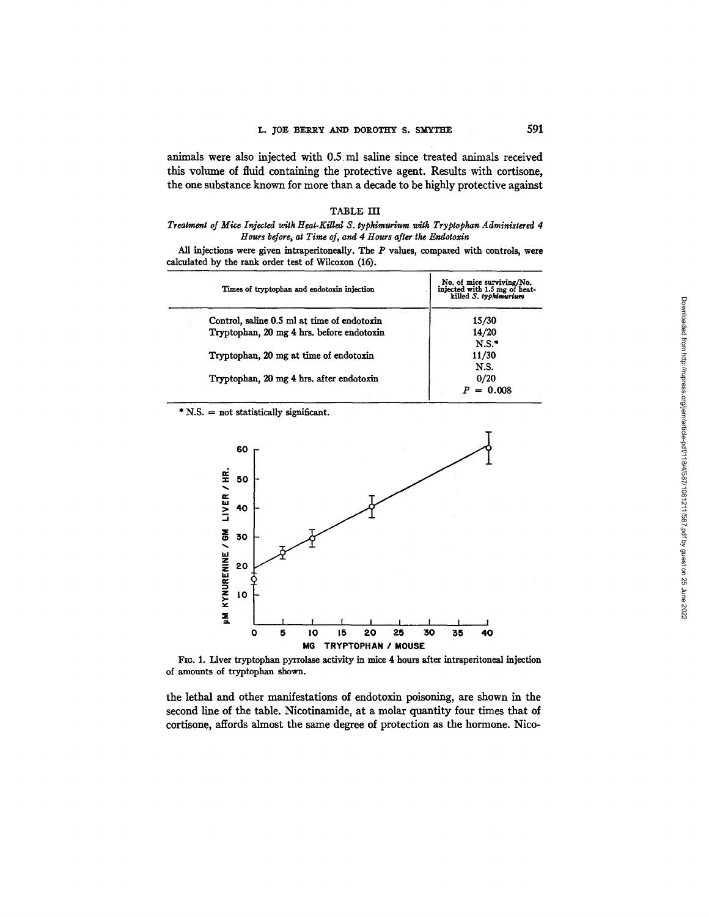animals were also injected with 0.5 ml saline since treated animals received this volume of fluid containing the protective agent. Results with cortisone, the one substance known for more than a decade to be highly protective against

#### TABLE HI

# *Treatment of Mite Injected with Heat-Killed S. typhimurium with Tryptoplum Administered 4 Hours before, at Time of, and 4 Hours after the Endotoxin*

All injections were given intraperitoneally. The  $P$  values, compared with controls, were calculated by the rank order test of Wilcoxon (16).

| Times of tryptophan and endotoxin injection | No. of mice surviving/No.<br>injected with 1.5 mg of heat-<br>killed S. typhimurium |
|---------------------------------------------|-------------------------------------------------------------------------------------|
| Control, saline 0.5 ml at time of endotoxin | 15/30                                                                               |
| Tryptophan, 20 mg 4 hrs. before endotoxin   | 14/20                                                                               |
|                                             | N.S.                                                                                |
| Tryptophan, 20 mg at time of endotoxin      | 11/30                                                                               |
|                                             | N.S.                                                                                |
| Tryptophan, 20 mg 4 hrs. after endotoxin    | 0/20                                                                                |
|                                             | $= 0.008$                                                                           |
|                                             |                                                                                     |

 $*$  N.S.  $=$  not statistically significant.



FIG. 1. Liver tryptophan pyrrolase activity in mice 4 hours after intraperitoneal injection of amounts of tryptophan shown.

the lethal and other manifestations of endotoxin poisoning, are shown in the second line of the table. Nicotinamide, at a molar quantity four times that of cortisone, affords almost the same degree of protection as the hormone. Nico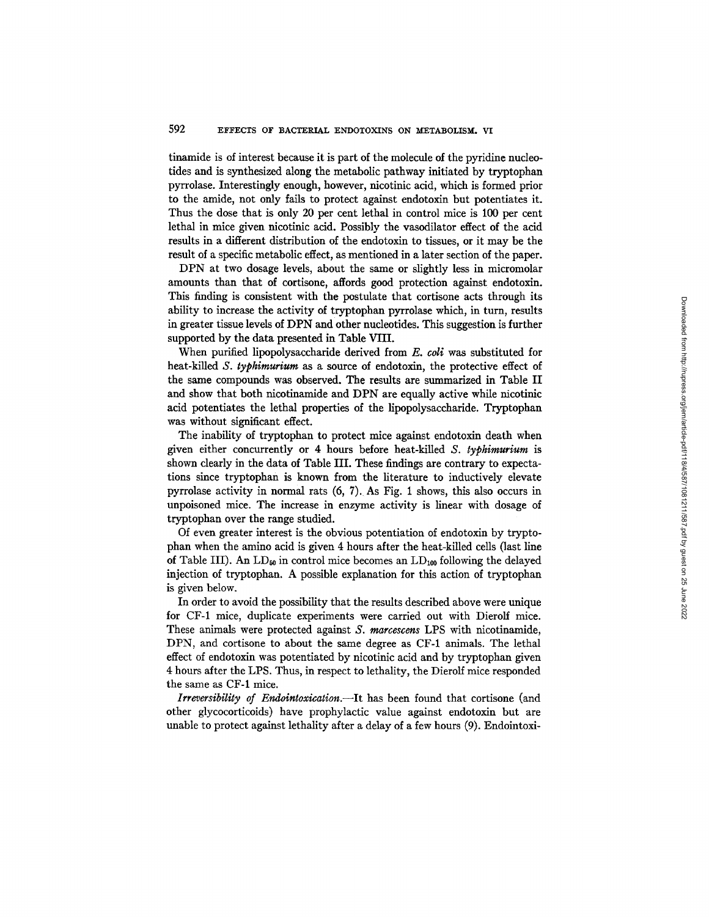tinamide is of interest because it is part of the molecule of the pyridine nucleotides and is synthesized along the metabolic pathway initiated by tryptophan pyrrolase. Interestingly enough, however, nicotinic acid, which is formed prior to the amide, not only fails to protect against endotoxin but potentiates it. Thus the dose that is only 20 per cent lethal in control mice is 100 per cent lethal in mice given nicotinic acid. Possibly the vasodilator effect of the acid results in a different distribution of the endotoxin to tissues, or it may be the result of a specific metabolic effect, as mentioned in a later section of the paper.

DPN at two dosage levels, about the same or slightly less in micromolar amounts than that of cortisone, affords good protection against endotoxin. This finding is consistent with the postulate that cortisone acts through its ability to increase the activity of tryptophan pyrrolase which, in turn, results in greater tissue levels of DPN and other nucleotides. This suggestion is further supported by the data presented in Table VIII.

When purified lipopolysaccharide derived from E. *coli* was substituted for heat-killed *S. typhimurium* as a source of endotoxin, the protective effect of the same compounds was observed. The results are summarized in Table II and show that both nicotinamide and DPN are equally active while nicotinic acid potentiates the lethal properties of the lipopolysaccharide. Tryptophan was without significant effect.

The inability of tryptophan to protect mice against endotoxin death when given either concurrently or 4 hours before heat-killed *S. typhimurium* is shown clearly in the data of Table III. These findings are contrary to expectations since tryptophan is known from the literature to inductively elevate pyrrolase activity in normal rats (6, 7). As Fig. 1 shows, this also occurs in unpoisoned mice. The increase in enzyme activity is linear with dosage of tryptophan over the range studied.

Of even greater interest is the obvious potentiation of endotoxin by tryptophan when the amino acid is given 4 hours after the heat-killed cells (last line of Table III). An  $LD_{50}$  in control mice becomes an  $LD_{100}$  following the delayed injection of tryptophan. A possible explanation for this action of tryptophan is given below.

In order to avoid the possibility that the results described above were unique for CF-1 mice, duplicate experiments were carried out with Dierolf mice. These animals were protected against *S. marcescens* LPS with nicotinamide, DPN, and cortisone to about the same degree as CF-1 animals. The lethal effect of endotoxin was potentiated by nicotinic acid and by tryptophan given 4 hours after the LPS. Thus, in respect to lethality, the Dierolf mice responded the same as CF-1 mice.

*Irrcversibility of Endointoxication.--It* has been found that cortisone (and other glycocorticoids) have prophylactic value against endotoxin but are unable to protect against lethality after a delay of a few hours (9). Endointoxi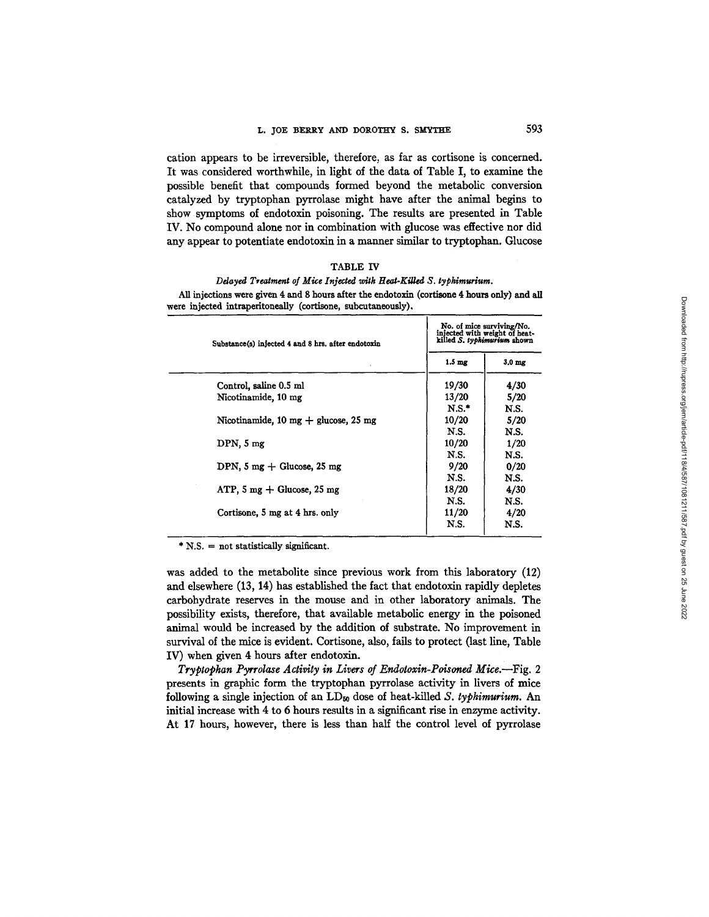cation appears to be irreversible, therefore, as far as cortisone is concerned. It was considered worthwhile, in light of the data of Table I, to examine the possible benefit that compounds formed beyond the metabolic conversion catalyzed by tryptophan pyrrolase might have after the animal begins to show symptoms of endotoxin poisoning. The results are presented in Table IV. No compound alone nor in combination with glucose was effective nor did any appear to potentiate endotoxin in a manner similar to tryptophan. Glucose

# TABLE IV

# *Ddayed Treatment of Mice Injected wltk Hcat-KiUed S. typhirauriura.*

| Substance(s) injected 4 and 8 hrs. after endotoxin     | No. of mice surviving/No.<br>injected with weight of heat-<br>killed S. typhimurium shown |                   |
|--------------------------------------------------------|-------------------------------------------------------------------------------------------|-------------------|
|                                                        | 1.5 <sub>mg</sub>                                                                         | 3.0 <sub>mg</sub> |
| Control, saline 0.5 ml                                 | 19/30                                                                                     | 4/30              |
| Nicotinamide, 10 mg                                    | 13/20                                                                                     | 5/20              |
| Nicotinamide, 10 mg $+$ glucose, 25 mg                 | $N.S.$ *<br>10/20                                                                         | N.S.<br>5/20      |
|                                                        | N.S.                                                                                      | N.S.              |
| DPN.5mg                                                | 10/20<br>N.S.                                                                             | 1/20<br>N.S.      |
| DPN, $5 \text{ mg} + \text{Glucose}$ , $25 \text{ mg}$ | 9/20                                                                                      | 0/20              |
| ATP, $5 \text{ mg} + \text{Glucose}, 25 \text{ mg}$    | N.S.<br>18/20                                                                             | N.S.<br>4/30      |
|                                                        | N.S.                                                                                      | N.S.              |
| Cortisone, 5 mg at 4 hrs. only                         | 11/20<br>N.S.                                                                             | 4/20<br>N.S.      |

All injections were given 4 and 8 hours after the endotoxin (cortisone 4 hours only) and all ere injected intraperitoneally (cortisone, subcutaneously).

\* N.S. = not statistically significant.

was added to the metabolite since previous work from this laboratory (12) and elsewhere (13, 14) has established the fact that endotoxin rapidly depletes carbohydrate reserves in the mouse and in other laboratory animals. The possibility exists, therefore, that available metabolic energy in the poisoned animal would be increased by the addition of substrate. No improvement in survival of the mice is evident. Cortisone, also, fails to protect (last line, Table IV) when given 4 hours after endotoxin.

*Tryptophan Pyrrolase Activity in Livers of Endotoxin-Poisoned Mice.*--Fig. 2 presents in graphic form the tryptophan pyrrolase activity in livers of mice following a single injection of an  $LD_{50}$  dose of heat-killed *S. typhimurium*. An initial increase with 4 to 6 hours results in a significant rise in enzyme activity. At 17 hours, however, there is less than half the control level of pyrrolase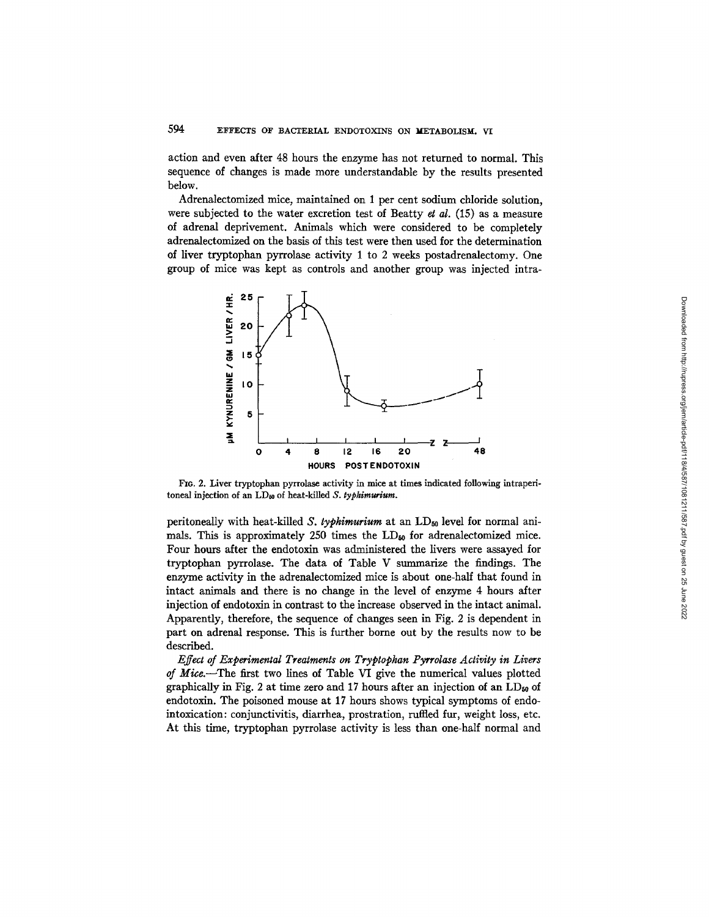action and even after 48 hours the enzyme has not returned to normal. This sequence of changes is made more understandable by the results presented below.

Adrenalectomized mice, maintained on 1 per cent sodium chloride solution, were subjected to the water excretion test of Beatty *et al.* (15) as a measure of adrenal deprivement. Animals which were considered to be completely adrenalectomized on the basis of this test were then used for the determination of liver tryptophan pyrrolase activity 1 to 2 weeks postadrenalectomy. One group of mice was kept as controls and another group was injected intra-



FIG. 2. Liver tryptophan pyrrolase activity in mice at times indicated following intraperitoneal injection of an LD<sub>50</sub> of heat-killed *S. typhimurium*.

peritoneally with heat-killed *S. typhimurium* at an LD<sub>50</sub> level for normal animals. This is approximately 250 times the  $LD_{50}$  for adrenalectomized mice. Four hours after the endotoxin was administered the livers were assayed for tryptophan pyrrolase. The data of Table V summarize the findings. The enzyme activity in the adrenalectomized mice is about one-half that found in intact animals and there is no change in the level of enzyme 4 hours after injection of endotoxin in contrast to the increase observed in the intact animal. Apparently, therefore, the sequence of changes seen in Fig. 2 is dependent in part on adrenal response. This is further borne out by the results now to be described.

*Effect of Experimental Treatments on Tryptophan Pyrrolase Activity in Livers of* M/ce.--The first two lines of Table VI give the numerical values plotted graphically in Fig. 2 at time zero and 17 hours after an injection of an  $LD_{50}$  of endotoxin. The poisoned mouse at 17 hours shows typical symptoms of endointoxication: conjunctivitis, diarrhea, prostration, ruffled fur, weight loss, etc. At this time, tryptophan pyrrolase activity is less than one-half normal and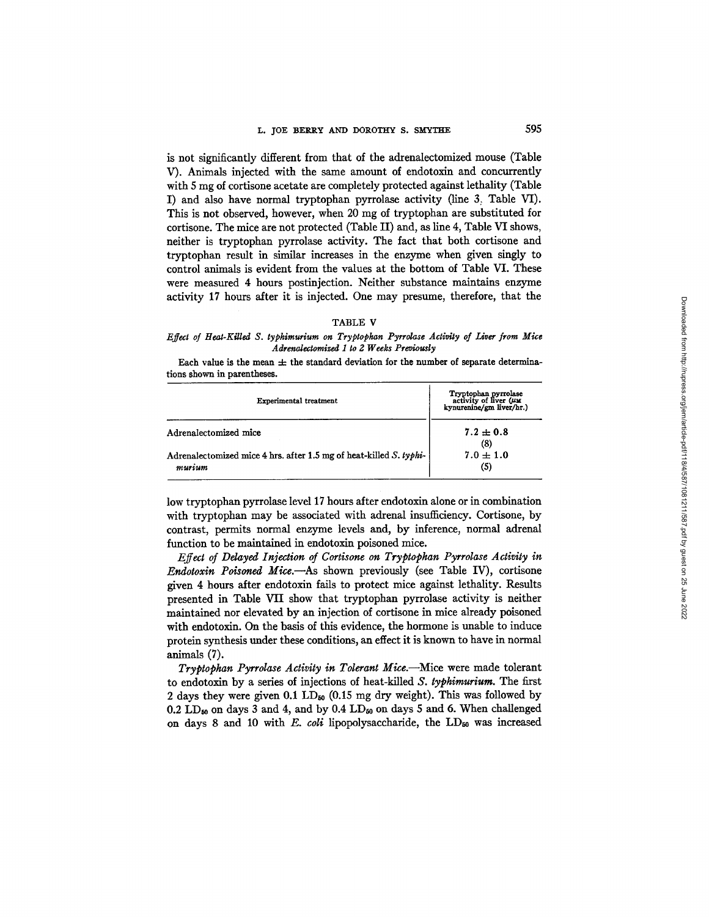is not significantly different from that of the adrenalectomized mouse (Table V). Animals injected with the same amount of endotoxin and concurrently with 5 mg of cortisone acetate are completely protected against lethality (Table I) and also have normal tryptophan pyrrolase activity (line 3, Table VI). This is not observed, however, when 20 mg of tryptophan are substituted for cortisone. The mice are not protected (Table II) and, as line 4, Table VI shows, neither is tryptophan pyrrolase activity. The fact that both cortisone and tryptophan result in similar increases in the enzyme when given singly to control animals is evident from the values at the bottom of Table VI. These were measured 4 hours postinjection. Neither substance maintains enzyme activity 17 hours after it is injected. One may presume, therefore, that the

#### TABLE V

### *Effect of Heat-Killed S. typhimurium on Tryptophan Pyrrolase Activity of Liver from Mice Adrenalectomized I to 2 Weeks Previously*

Each value is the mean  $\pm$  the standard deviation for the number of separate determinations shown in parentheses.

| Experimental treatment                                                       | Tryptophan pyrrolase<br>activity of liver (UM<br>kynurenine/gm liver/hr.) |  |
|------------------------------------------------------------------------------|---------------------------------------------------------------------------|--|
| Adrenalectomized mice                                                        | $7.2 \pm 0.8$                                                             |  |
| Adrenalectomized mice 4 hrs. after 1.5 mg of heat-killed S. typhi-<br>murium | (8)<br>$7.0 \pm 1.0$<br>(5)                                               |  |

low tryptophan pyrrolase level 17 hours after endotoxin alone or in combination with tryptophan may be associated with adrenal insufficiency. Cortisone, by contrast, permits normal enzyme levels and, by inference, normal adrenal function to be maintained in endotoxin poisoned mice.

*Effect of Delayed Injection of Cortisone on Tryptophan Pyrrolase Activity in Endotoxin Poisoned Mice.--As* shown previously (see Table IV), cortisone given 4 hours after endotoxin fails to protect mice against lethality. Results presented in Table VII show that tryptophan pyrrolase activity is neither maintained nor elevated by an injection of cortisone in mice already poisoned with endotoxin. On the basis of this evidence, the hormone is unable to induce protein synthesis under these conditions, an effect it is known to have in normal animals (7).

*Tryptophan Pyrrolase Activity in Tolerant Mice.*—Mice were made tolerant to endotoxin by a series of injections of heat-killed *S. typhimuriura.* The first 2 days they were given 0.1 LD<sub>50</sub> (0.15 mg dry weight). This was followed by 0.2 LD<sub>to</sub> on days 3 and 4, and by 0.4 LD<sub>to</sub> on days 5 and 6. When challenged on days 8 and 10 with *E. coli* lipopolysaccharide, the LD<sub>50</sub> was increased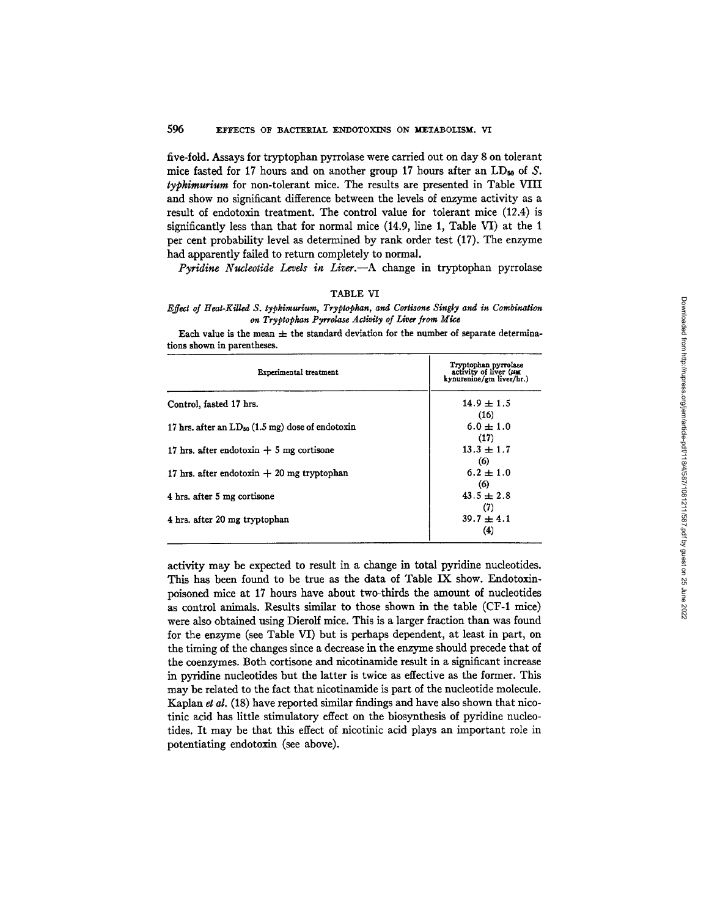## 596 EFFECTS OF BACTERIAL ENDOTOXINS ON METABOLISM. VI

five-fold. Assays for tryptophan pyrrolase were carried out on day 8 on tolerant mice fasted for 17 hours and on another group 17 hours after an  $LD_{50}$  of S. *typkimurium* for non-tolerant mice. The results are presented in Table VIII and show no significant difference between the levels of enzyme activity as a result of endotoxin treatment. The control value for tolerant mice (12.4) is significantly less than that for normal mice (14.9, line 1, Table VI) at the 1 per cent probability level as determined by rank order test (17). The enzyme had apparently failed to return completely to normal.

*Pyridine Nucleotide Levels in Liver.--A* change in tryptophan pyrrolase

#### TABLE VI

*Effect of Heat-Killed S. typhimurium, Tryptophan, and Cortisone Singly and in Combination on Tryptophan Pyrrolase Activity of Liver from Mie, e* 

Each value is the mean  $\pm$  the standard deviation for the number of separate determinations shown in parentheses.

| Experimental treatment                                | Tryptophan pyrrolase<br>activity of liver $(\mu_M$<br>kynurenine/gm liver/hr.) |
|-------------------------------------------------------|--------------------------------------------------------------------------------|
| Control, fasted 17 hrs.                               | $14.9 \pm 1.5$<br>(16)                                                         |
| 17 hrs. after an $LD_{50}$ (1.5 mg) dose of endotoxin | $6.0 \pm 1.0$<br>(17)                                                          |
| 17 hrs. after endotoxin $+$ 5 mg cortisone            | $13.3 + 1.7$<br>(6)                                                            |
| 17 hrs. after endotoxin $+20$ mg tryptophan           | $6.2 \pm 1.0$<br>(6)                                                           |
| 4 hrs. after 5 mg cortisone                           | $43.5 \pm 2.8$<br>(7)                                                          |
| 4 hrs. after 20 mg tryptophan                         | $39.7 \pm 4.1$<br>(4)                                                          |

activity may be expected to result in a change in total pyridine nucleotides. This has been found to be true as the data of Table IX show. Endotoxinpoisoned mice at 17 hours have about two-thirds the mount of nucleofides as control animals. Results similar to those shown in the table (CF-1 mice) were also obtained using Dierolf mice. This is a larger fraction than was found for the enzyme (see Table VI) but is perhaps dependent, at least in part, on the timing of the changes since a decrease in the enzyme should precede that of the coenzymes. Both cortisone and nicotinamide result in a significant increase in pyridine nucleotides but the latter is twice as effective as the former. This may be related to the fact that nicotinamide is part of the nucleotide molecule. Kaplan *et al.* (18) have reported similar findings and have also shown that nicotinic acid has little stimulatory effect on the biosynthesis of pyridine nucleotides. It may be that this effect of nicotinic acid plays an important role in potentiating endotoxin (see above).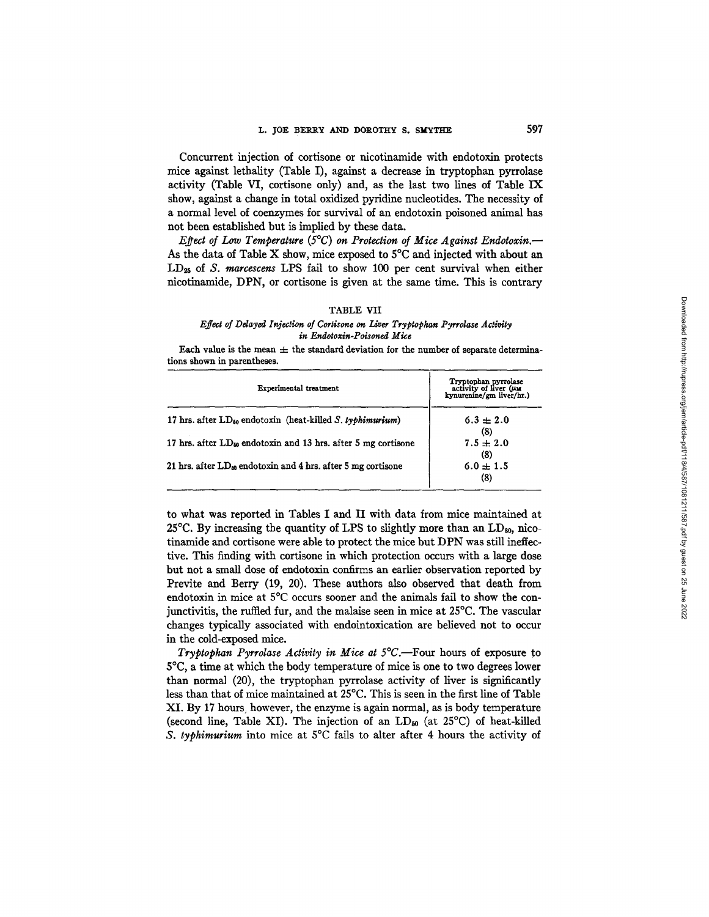Concurrent injection of cortisone or nicotinarnide with endotoxin protects mice against lethality (Table I), against a decrease in tryptophan pyrrolase activity (Table VI, cortisone only) and, as the last two lines of Table IX show, against a change in total oxidized pyridine nucleotides. The necessity of a normal level of coenzymes for survival of an endotoxin poisoned animal has not been established but is implied by these data.

*Effect of Low Temperature* (5°C) on Protection of Mice Against Endotoxin.— As the data of Table X show, mice exposed to  $5^{\circ}$ C and injected with about an LD~ of *S. marcescens* LPS fail to show 100 per cent survival when either nicotinamide, DPN, or cortisone is given at the same time. This is contrary

#### TABLE VII

#### *Effect of Ddayed Injection of Cortisone on Liver Tryptophan Pyrrolase Activity*   $in$  *Endotoxin-Poisoned Mice*

Each value is the mean  $\pm$  the standard deviation for the number of separate determinations shown in parentheses.

| Experimental treatment                                             | Tryptophan pyrrolase<br>activity of liver $(\mu_M)$<br>kynurenine/gm liver/hr.) |  |
|--------------------------------------------------------------------|---------------------------------------------------------------------------------|--|
| 17 hrs. after $LD_{50}$ endotoxin (heat-killed S, typhimurium)     | $6.3 \pm 2.0$<br>(8)                                                            |  |
| 17 hrs. after $LD_{50}$ endotoxin and 13 hrs. after 5 mg cortisone | $7.5 \pm 2.0$<br>(8)                                                            |  |
| 21 hrs. after $LD_{50}$ endotoxin and 4 hrs. after 5 mg cortisone  | $6.0 \pm 1.5$<br>(8)                                                            |  |

to what was reported in Tables I and II with data from mice maintained at 25 $^{\circ}$ C. By increasing the quantity of LPS to slightly more than an LD<sub>80</sub>, nicotinamide and cortisone were able to protect the mice but DPN was still ineffective. This finding with cortisone in which protection occurs with a large dose but not a small dose of endotoxin confirms an earlier observation reported by Previte and Berry (19, 20). These authors also observed that death from endotoxin in mice at 5°C occurs sooner and the animals fail to show the conjunctivitis, the ruffled fur, and the malaise seen in mice at 25°C. The vascular changes typically associated with endointoxication are believed not to occur in the cold-exposed mice.

*Tryptophan Pyrrolase Activity in Mice at 5°C*.—Four hours of exposure to 5°C, a time at which the body temperature of mice is one to two degrees lower than normal (20), the tryptophan pyrrolase activity of liver is significantly less than that of mice maintained at 25°C. This is seen in the first line of Table XI. By 17 hours, however, the enzyme is again normal, as is body temperature (second line, Table XI). The injection of an  $LD_{50}$  (at 25<sup>o</sup>C) of heat-killed *S. typhimurium* into mice at 5°C fails to alter after 4 hours the activity of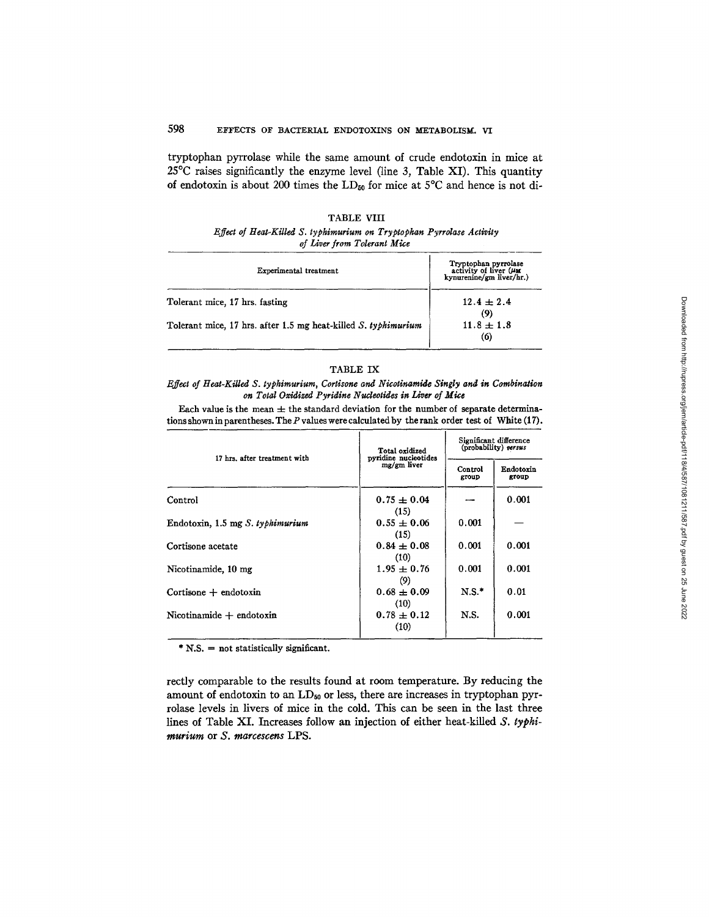# 598 EFFECTS OF BACTERIAL ENDOTOXINS ON METABOLISM. VI

tryptophan pyrrolase while the same amount of crude endotoxin in mice at 25°C raises significantly the enzyme level (line 3, Table XI). This quantity of endotoxin is about 200 times the  $LD_{50}$  for mice at  $5^{\circ}C$  and hence is not di-

### TABLE VIII

### *Effect oJ Heat-Killed S. typhimurium on Tryptopkan Pyrrolase Activity of Liver from Tolerant Mice*

| Experimental treatment                                         | Tryptophan pyrrolase<br>activity of liver (MM<br>kynurenine/gm liver/hr.) |
|----------------------------------------------------------------|---------------------------------------------------------------------------|
| Tolerant mice, 17 hrs. fasting                                 | $12.4 \pm 2.4$<br>(9)                                                     |
| Tolerant mice, 17 hrs. after 1.5 mg heat-killed S. typhimurium | $11.8 \pm 1.8$<br>(6)                                                     |

#### TABLE IX

*Effect of Heat-Killed S. typhimurium, Cortisone and Nicotinamide Singly and in Combination on Total Oxidized Pyridine Nudeotides in Liver of Mice* 

Each value is the mean  $\pm$  the standard deviation for the number of separate determinations shown in parentheses. The  $P$  values were calculated by the rank order test of White (17).

| 17 hrs. after treatment with          | Total oxidized<br>pyridine nucleotides | Significant difference<br>(probability) versus |                    |
|---------------------------------------|----------------------------------------|------------------------------------------------|--------------------|
|                                       | mg/gm liver                            | Control<br>group                               | Endotoxin<br>group |
| Control                               | $0.75 \pm 0.04$<br>(15)                |                                                | 0.001              |
| Endotoxin, 1.5 mg S. typhimurium      | $0.55 \pm 0.06$<br>(15)                | 0.001                                          |                    |
| Cortisone acetate                     | $0.84 + 0.08$<br>(10)                  | 0.001                                          | 0.001              |
| Nicotinamide, 10 mg                   | $1.95 + 0.76$<br>(9)                   | 0.001                                          | 0.001              |
| $\text{Cortisone} + \text{endotoxin}$ | $0.68 \pm 0.09$<br>(10)                | $N.S.$ *                                       | 0.01               |
| $Nicotinamide + endotoxin$            | $0.78 \pm 0.12$<br>(10)                | N.S.                                           | 0.001              |

\* N.S. = not statistically significant.

rectly comparable to the results found at room temperature. By reducing the amount of endotoxin to an LD<sub>50</sub> or less, there are increases in tryptophan pyrrolase levels in livers of mice in the cold. This can be seen in the last three lines of Table XI. Increases follow an injection of either heat-killed *S. typhiraurium* or *S. marcescens* LPS.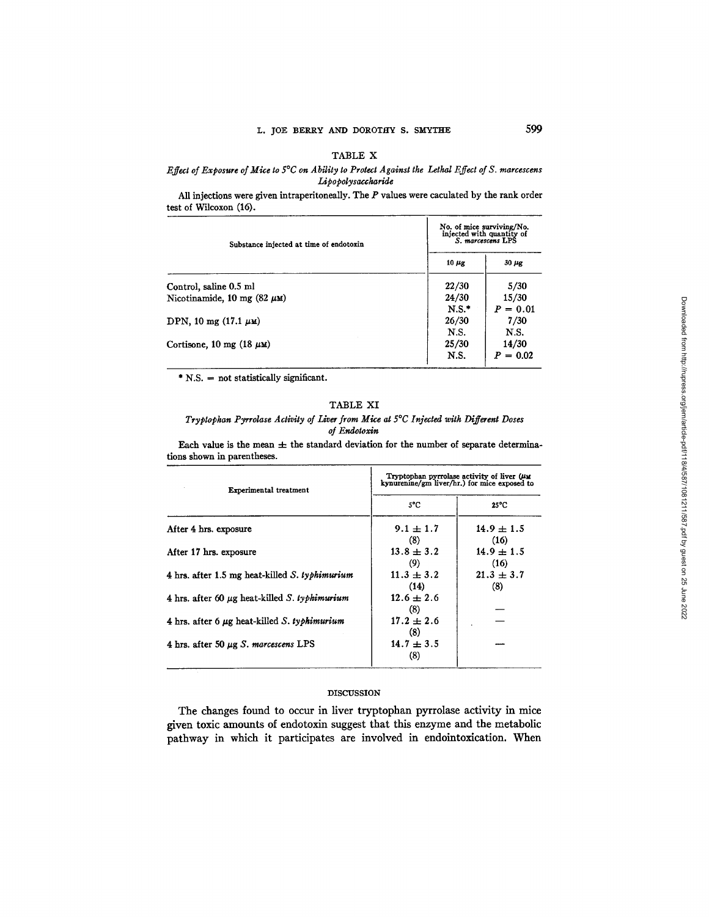# TABLE X

# *Effect of Exposure of Mice to 5°C on Ability to Protect Against the Lethal Effect of S. marcescens Lipopolysaccharide*

All injections were given intraperitoneally. The P values were caculated by the rank order test of Wileoxon (16).

| Substance injected at time of endotoxin | No. of mice surviving/No.<br>injected with quantity of<br>S. marcescens LPS |                     |
|-----------------------------------------|-----------------------------------------------------------------------------|---------------------|
|                                         | $10 \mu$ g                                                                  | $30 \mu$ g          |
| Control, saline 0.5 ml                  | 22/30                                                                       | 5/30                |
| Nicotinamide, 10 mg (82 $\mu$ M)        | 24/30<br>$N.S.$ *                                                           | 15/30<br>$P = 0.01$ |
| DPN, 10 mg $(17.1 \mu \text{m})$        | 26/30<br>N.S.                                                               | 7/30<br>N.S.        |
| Cortisone, 10 mg (18 $\mu$ M)           | 25/30<br>N.S.                                                               | 14/30<br>$P = 0.02$ |

 $*$  N.S. = not statistically significant.

# TABLE XI

*Tryptopkan Pyrrolase Activity of Liver from Mixe at 5°C Injected with Different Doses of Endotoxin* 

Each value is the mean  $\pm$  the standard deviation for the number of separate determinations shown in parentheses.

| Experimental treatment                                   | Tryptophan pyrrolase activity of liver $(\mu)$<br>kynurenine/gm liver/hr.) for mice exposed to |                        |  |
|----------------------------------------------------------|------------------------------------------------------------------------------------------------|------------------------|--|
|                                                          | 5°C                                                                                            | $25^{\circ}$ C         |  |
| After 4 hrs. exposure                                    | $9.1 \pm 1.7$<br>(8)                                                                           | $14.9 \pm 1.5$<br>(16) |  |
| After 17 hrs. exposure                                   | $13.8 + 3.2$<br>(9)                                                                            | $14.9 \pm 1.5$<br>(16) |  |
| 4 hrs. after 1.5 mg heat-killed $S.$ typhimurium         | $11.3 \pm 3.2$<br>(14)                                                                         | $21.3 \pm 3.7$<br>(8)  |  |
| 4 hrs. after 60 $\mu$ g heat-killed S. typhimurium       | $12.6 \pm 2.6$<br>(8)                                                                          |                        |  |
| 4 hrs. after 6 $\mu$ g heat-killed <i>S. typhimurium</i> | $17.2 \pm 2.6$<br>(8)                                                                          |                        |  |
| 4 hrs. after 50 $\mu$ g <i>S</i> . marcescens LPS        | $14.7 \pm 3.5$<br>(8)                                                                          |                        |  |

# DISCUSSION

The changes found to occur in liver tryptophan pyrrolase activity in mice given toxic amounts of endotoxin suggest that this enzyme and the metabolic pathway in which it participates are involved in endointoxication. When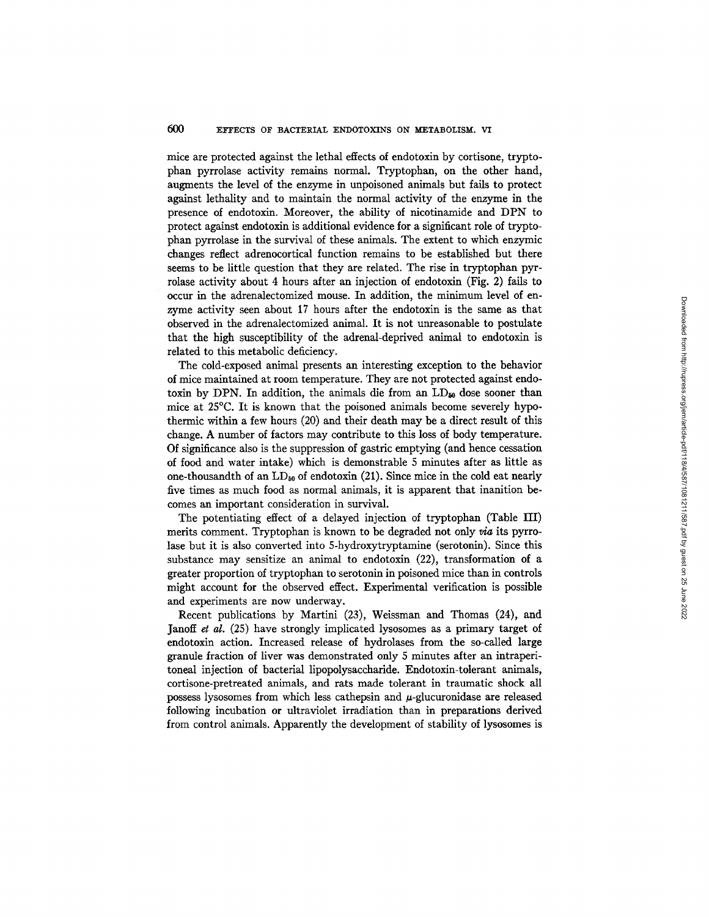mice are protected against the lethal effects of endotoxin by cortisone, tryptophan pyrrolase activity remains normal. Tryptophan, on the other hand, augments the level of the enzyme in tmpoisoned animals but fails to protect against lethality and to maintain the normal activity of the enzyme in the presence of endotoxin. Moreover, the ability of nicotinamide and DPN to protect against endotoxin is additional evidence for a significant role of tryptophan pyrrolase in the survival of these animals. The extent to which enzymic changes reflect adrenocortical function remains to be established but there seems to be little question that they are related. The rise in tryptophan pyrrolase activity about 4 hours after an injection of endotoxin (Fig. 2) fails to occur in the adrenalectomized mouse. In addition, the minimum level of enzyme activity seen about 17 hours after the endotoxin is the same as that observed in the adrenaiectomized animal. It is not unreasonable to postulate that the high susceptibility of the adrenal-deprived animal to endotoxin is related to this metabolic deficiency.

The cold-exposed animal presents an interesting exception to the behavior of mice maintained at room temperature. They are not protected against endotoxin by DPN. In addition, the animals die from an  $LD_{50}$  dose sooner than mice at 25°C. It is known that the poisoned animals become severely hypothermic within a few hours (20) and their death may be a direct result of this change. A number of factors may contribute to this loss of body temperature. Of significance also is the suppression of gastric emptying (and hence cessation of food and water intake) which is demonstrable 5 minutes after as little as one-thousandth of an  $LD_{50}$  of endotoxin (21). Since mice in the cold eat nearly five times as much food as normal animals, it is apparent that inanition becomes an important consideration in survival.

The potentiating effect of a delayed injection of tryptophan (Table III) merits comment. Tryptophan is known to be degraded not only  $via$  its pyrrolase but it is also converted into 5-hydroxytryptamine (serotonin). Since this substance may sensitize an animal to endotoxin (22), transformation of a greater proportion of tryptophan to serotonin in poisoned mice than in controls might account for the observed effect. Experimental verification is possible and experiments are now underway.

Recent publications by Martini (23), Weissman and Thomas (24), and Janoff *et al.* (25) have strongly implicated lysosomes as a primary target of endotoxin action. Increased release of hydrolases from the so-called large granule fraction of liver was demonstrated only 5 minutes after an intraperitoneai injection of bacterial lipopolysaccharide. Endotoxin-tolerant animals, cortisone-pretreated animals, and rats made tolerant in traumatic shock all possess lysosomes from which less cathepsin and  $\mu$ -glucuronidase are released following incubation or ultraviolet irradiation than in preparations derived from control animals. Apparently the development of stability of lysosomes is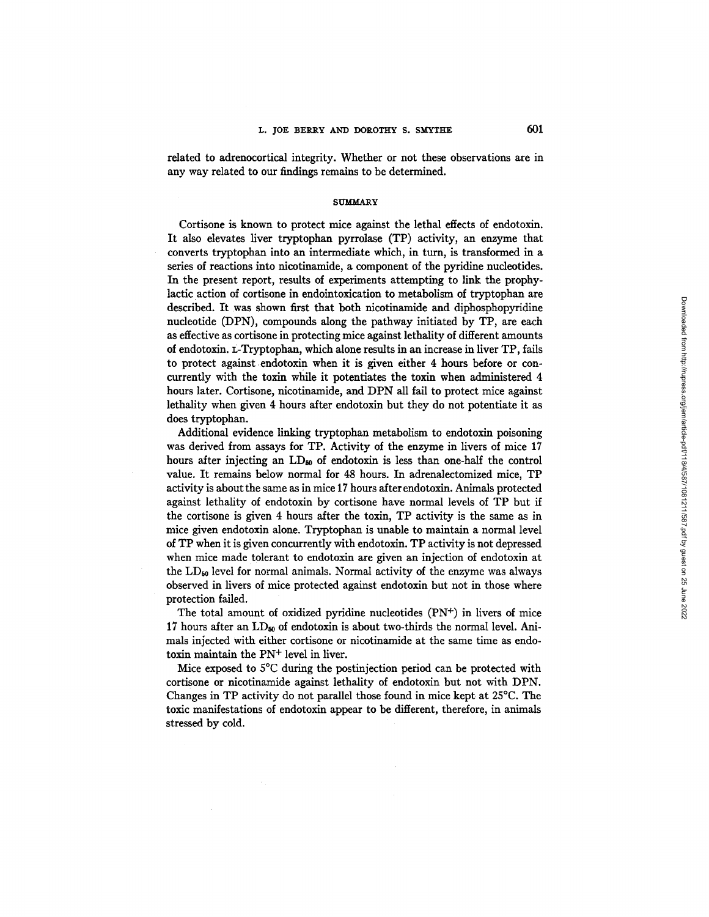related to adrenocortical integrity. Whether or not these observations are in any way related to our findings remains to be determined.

#### **SUMMARY**

Cortisone is known to protect mice against the lethal effects of endotoxin. It also elevates liver tryptophan pyrrolase (TP) activity, an enzyme that converts tryptophan into an intermediate which, in turn, is transformed in a series of reactions into nicotinamide, a component of the pyridine nucleotides. In the present report, results of experiments attempting to link the prophylactic action of cortisone in endointoxication to metabolism of tryptophan are described. It was shown first that both nicotinamide and diphosphopyridine nucleotide (DPN), compounds along the pathway initiated by TP, are each as effective as cortisone in protecting mice against lethality of different amounts of endotoxin. L-Tryptophan, which alone results in an increase in liver TP, fails to protect against endotoxin when it is given either 4 hours before or concurrently with the toxin while it potentiates the toxin when administered 4 hours later. Cortisone, nicotinamide, and DPN all fail to protect mice against lethality when given 4 hours after endotoxin but they do not potentiate it as does tryptophan.

Additional evidence linking tryptophan metabolism to endotoxin poisoning was derived from assays for TP. Activity of the enzyme in livers of mice 17 hours after injecting an LD<sub>50</sub> of endotoxin is less than one-half the control value. It remains below normal for 48 hours. In adrenalectomized mice, TP activity is about the same as in mice 17 hours after endotoxin. Animals protected against lethality of endotoxin by cortisone have normal levels of TP but if the cortisone is given 4 hours after the toxin, TP activity is the same as in mice given endotoxin alone. Tryptophan is unable to maintain a normal level of TP when it is given concurrently with endotoxin. TP activity is not depressed when mice made tolerant to endotoxin are given an injection of endotoxin at the  $LD_{50}$  level for normal animals. Normal activity of the enzyme was always observed in livers of mice protected against endotoxin but not in those where protection failed.

The total amount of oxidized pyridine nucleotides  $(PN<sup>+</sup>)$  in livers of mice 17 hours after an  $LD_{60}$  of endotoxin is about two-thirds the normal level. Animals injected with either cortisone or nicotinamide at the same time as endotoxin maintain the PN<sup>+</sup> level in liver.

Mice exposed to 5°C during the postinjection period can be protected with cortisone or nicotinamide against lethality of endotoxin but not with DPN. Changes in TP activity do not parallel those found in mice kept at  $25^{\circ}$ C. The toxic manifestations of endotoxin appear to be different, therefore, in animals stressed by cold.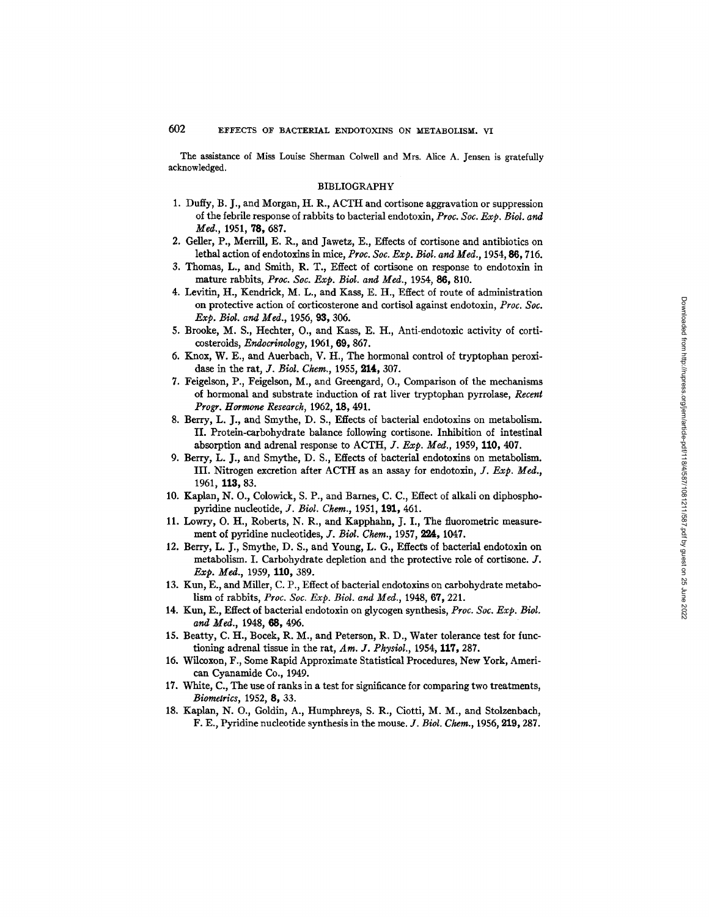The assistance of Miss Louise Sherman Colwell and Mrs. Alice A. Jensen is gratefully acknowledged.

#### BIBLIOGRAPHY

- 1. Duffy, B. J., and Morgan, H. R., ACTH and cortisone aggravation or suppression of the febrile response of rabbits to bacterial endotoxin, *Proc. Soc. Exp. Biol. and Med.,* 1951, 78, 687.
- 2. Geller, P., Merrill, E. R., and Jawetz, E., Effects of cortisone and antibiotics on lethal action of endotoxins in mice, *Pro¢. Soc. Exp. Biol. and Med.,* 1954, 86, 716.
- 3. Thomas, L., and Smith, R. T., Effect of cortisone on response to endotoxin in mature rabbits, *Proc. Soc. Exp. Biol. and Med.,* 1954, 86, 810.
- 4. Levitin, H., Kendrick, M. L., and Kass, E. H., Effect of route of administration on protective action of corticosterone and cortisol against endotoxin, *Proc. Soc. Exp, Biol. and Med.,* 1956, 93, 306.
- 5. Brooke, M. S., Hechter, O., and Kass, E. H., Anti-endotoxic activity of corticosteroids, *Endocrinology,* 1961, 69, 867.
- 6. Knox, W. E., and Auerbach, V. H., The hormonal control of tryptophan peroxidase in the rat, *J. Biol. Chem.,* 1955, 214, 307.
- 7. Feigdson, P., Feigelson, M., and Greengard, O., Comparison of the mechanisms of hormonal and substrate induction of rat liver tryptophan pyrrolase, *Recent Progr. Hormone Research,* 1962, 18, 491.
- 8. Berry, L. J., and Smythe, D. S., Effects of bacterial endotoxins on metabolism. II. Protein-carbohydrate balance following cortisone. Inhibition of intestinal absorption and adrenal response to ACTH, *J. Exp. Med.*, 1959, 110, 407.
- 9. Berry, L. J., and Smythe, D. S., Effects of bacterial endotoxins on metabolism. III. Nitrogen excretion after ACTH as an assay for endotoxin, *Y. Exp. Med.,*  1961, 113, 83.
- 10. Kaplan, N. O., Colowick, S. P., and Barnes, C. C., Effect of alkali on diphosphopyridine nucleotide, *J. Biol. Chem.*, 1951, 191, 461.
- 11. Lowry, O. H., Roberts, N. R., and Kapphahn, J. I., The fluorometric measurement of pyridine nudeotides, *J. Biol. Chem.,* 1957, 224, 1047.
- 12. Berry, L. J., Smythe, D. S., and Young, L. G., Effects of bacterial endotoxin on metabolism. I. Carbohydrate depletion and the protective role of cortisone. J. *Exp. Med., 1959, 110, 389.*
- 13. Kun, E., and Miller, C. P., Effect of bacterial endotoxins on carbohydrate metabolism of rabbits, *Proc. Soc. Exp. Biol. and Meal.,* 1948, 67, 221.
- 14. Kun, E., Effect of bacterial endotoxin on glycogen synthesis, *Proc. Soc. Exp. Biol. and Med.,* 1948, 68, 496.
- 15. Beatty, C. H., Bocek, R. M., and Peterson, R. D., Water tolerance test for functioning adrenal tissue in the rat, *Am. J. Physiol.,* 1954, 117, 287.
- 16. Wilcoxon, F., Some Rapid Approximate Statistical Procedures, New York, American Cyanamide Co., 1949.
- 17. White, C., The use of ranks in a test for significance for comparing two treatments, *Biometrics,* 1952, 8, 33.
- 18. Kaplan, N. O., Goldin, A., Humphreys, S. R., Ciotti, M. M., and Stolzenbach, F. E., Pyridine nucleotide synthesis in the mouse. *J. Biol. Chem.,* 1956, 219,287.